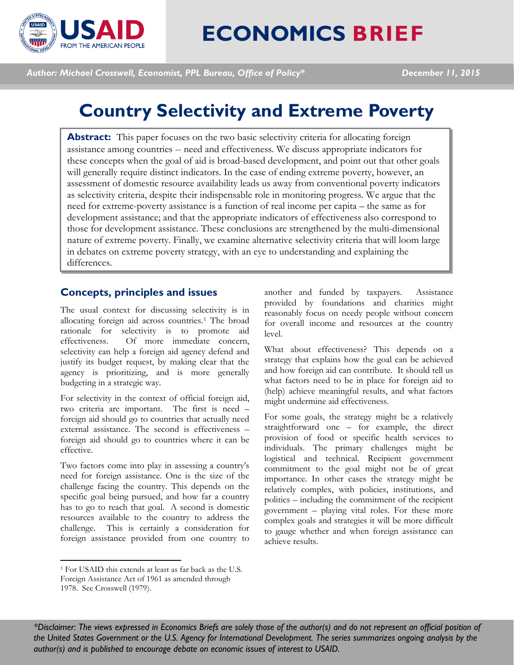

# **ECONOMICS BRIEF**

*Author: Michael Crosswell, Economist, PPL Bureau, Office of Policy\* December 11, 2015*

# **Country Selectivity and Extreme Poverty**

Abstract: This paper focuses on the two basic selectivity criteria for allocating foreign assistance among countries -- need and effectiveness. We discuss appropriate indicators for these concepts when the goal of aid is broad-based development, and point out that other goals will generally require distinct indicators. In the case of ending extreme poverty, however, an assessment of domestic resource availability leads us away from conventional poverty indicators as selectivity criteria, despite their indispensable role in monitoring progress. We argue that the need for extreme-poverty assistance is a function of real income per capita – the same as for development assistance; and that the appropriate indicators of effectiveness also correspond to those for development assistance. These conclusions are strengthened by the multi-dimensional nature of extreme poverty. Finally, we examine alternative selectivity criteria that will loom large in debates on extreme poverty strategy, with an eye to understanding and explaining the differences.

# **Concepts, principles and issues**

The usual context for discussing selectivity is in allocating foreign aid across countries.[1](#page-0-0) The broad rationale for selectivity is to promote aid effectiveness. Of more immediate concern, selectivity can help a foreign aid agency defend and justify its budget request, by making clear that the agency is prioritizing, and is more generally budgeting in a strategic way.

For selectivity in the context of official foreign aid, two criteria are important. The first is need – foreign aid should go to countries that actually need external assistance. The second is effectiveness – foreign aid should go to countries where it can be effective.

Two factors come into play in assessing a country's need for foreign assistance. One is the size of the challenge facing the country. This depends on the specific goal being pursued, and how far a country has to go to reach that goal. A second is domestic resources available to the country to address the challenge. This is certainly a consideration for foreign assistance provided from one country to another and funded by taxpayers. Assistance provided by foundations and charities might reasonably focus on needy people without concern for overall income and resources at the country level.

What about effectiveness? This depends on a strategy that explains how the goal can be achieved and how foreign aid can contribute. It should tell us what factors need to be in place for foreign aid to (help) achieve meaningful results, and what factors might undermine aid effectiveness.

For some goals, the strategy might be a relatively straightforward one – for example, the direct provision of food or specific health services to individuals. The primary challenges might be logistical and technical. Recipient government commitment to the goal might not be of great importance. In other cases the strategy might be relatively complex, with policies, institutions, and politics – including the commitment of the recipient government – playing vital roles. For these more complex goals and strategies it will be more difficult to gauge whether and when foreign assistance can achieve results.

*\*Disclaimer: The views expressed in Economics Briefs are solely those of the author(s) and do not represent an official position of the United States Government or the U.S. Agency for International Development. The series summarizes ongoing analysis by the author(s) and is published to encourage debate on economic issues of interest to USAID.*

<span id="page-0-0"></span>l <sup>1</sup> For USAID this extends at least as far back as the U.S. Foreign Assistance Act of 1961 as amended through 1978. See Crosswell (1979).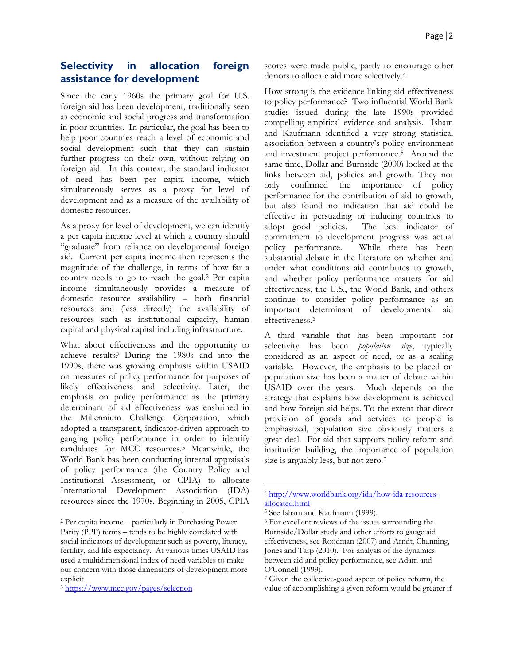#### **Selectivity in allocation foreign assistance for development**

Since the early 1960s the primary goal for U.S. foreign aid has been development, traditionally seen as economic and social progress and transformation in poor countries. In particular, the goal has been to help poor countries reach a level of economic and social development such that they can sustain further progress on their own, without relying on foreign aid. In this context, the standard indicator of need has been per capita income, which simultaneously serves as a proxy for level of development and as a measure of the availability of domestic resources.

As a proxy for level of development, we can identify a per capita income level at which a country should "graduate" from reliance on developmental foreign aid. Current per capita income then represents the magnitude of the challenge, in terms of how far a country needs to go to reach the goal[.2](#page-1-0) Per capita income simultaneously provides a measure of domestic resource availability – both financial resources and (less directly) the availability of resources such as institutional capacity, human capital and physical capital including infrastructure.

What about effectiveness and the opportunity to achieve results? During the 1980s and into the 1990s, there was growing emphasis within USAID on measures of policy performance for purposes of likely effectiveness and selectivity. Later, the emphasis on policy performance as the primary determinant of aid effectiveness was enshrined in the Millennium Challenge Corporation, which adopted a transparent, indicator-driven approach to gauging policy performance in order to identify candidates for MCC resources.[3](#page-1-1) Meanwhile, the World Bank has been conducting internal appraisals of policy performance (the Country Policy and Institutional Assessment, or CPIA) to allocate International Development Association (IDA) resources since the 1970s. Beginning in 2005, CPIA

<span id="page-1-2"></span> $\overline{\phantom{a}}$ 

scores were made public, partly to encourage other donors to allocate aid more selectively.[4](#page-1-2)

How strong is the evidence linking aid effectiveness to policy performance? Two influential World Bank studies issued during the late 1990s provided compelling empirical evidence and analysis. Isham and Kaufmann identified a very strong statistical association between a country's policy environment and investment project performance[.5](#page-1-3) Around the same time, Dollar and Burnside (2000) looked at the links between aid, policies and growth. They not only confirmed the importance of policy performance for the contribution of aid to growth, but also found no indication that aid could be effective in persuading or inducing countries to adopt good policies. The best indicator of commitment to development progress was actual policy performance. While there has been substantial debate in the literature on whether and under what conditions aid contributes to growth, and whether policy performance matters for aid effectiveness, the U.S., the World Bank, and others continue to consider policy performance as an important determinant of developmental aid effectiveness[.6](#page-1-0)

A third variable that has been important for selectivity has been *population size*, typically considered as an aspect of need, or as a scaling variable. However, the emphasis to be placed on population size has been a matter of debate within USAID over the years. Much depends on the strategy that explains how development is achieved and how foreign aid helps. To the extent that direct provision of goods and services to people is emphasized, population size obviously matters a great deal. For aid that supports policy reform and institution building, the importance of population size is arguably less, but not zero.<sup>[7](#page-1-4)</sup>

l

<span id="page-1-3"></span><span id="page-1-0"></span><sup>2</sup> Per capita income – particularly in Purchasing Power Parity (PPP) terms – tends to be highly correlated with social indicators of development such as poverty, literacy, fertility, and life expectancy. At various times USAID has used a multidimensional index of need variables to make our concern with those dimensions of development more explicit

<span id="page-1-4"></span><span id="page-1-1"></span><sup>3</sup> <https://www.mcc.gov/pages/selection>

<sup>4</sup> [http://www.worldbank.org/ida/how-ida-resources](http://www.worldbank.org/ida/how-ida-resources-allocated.html)[allocated.html](http://www.worldbank.org/ida/how-ida-resources-allocated.html)

<sup>5</sup> See Isham and Kaufmann (1999).

<sup>6</sup> For excellent reviews of the issues surrounding the Burnside/Dollar study and other efforts to gauge aid effectiveness, see Roodman (2007) and Arndt, Channing, Jones and Tarp (2010). For analysis of the dynamics between aid and policy performance, see Adam and O'Connell (1999).

<sup>7</sup> Given the collective-good aspect of policy reform, the value of accomplishing a given reform would be greater if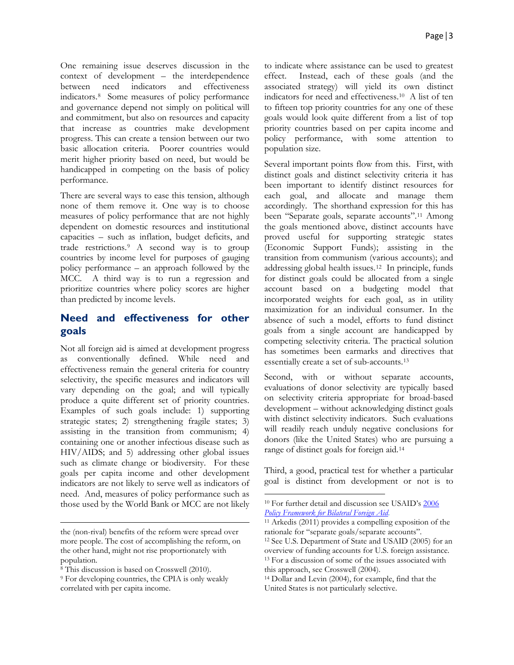One remaining issue deserves discussion in the context of development – the interdependence between need indicators and effectiveness indicators.[8](#page-2-0) Some measures of policy performance and governance depend not simply on political will and commitment, but also on resources and capacity that increase as countries make development progress. This can create a tension between our two basic allocation criteria. Poorer countries would merit higher priority based on need, but would be handicapped in competing on the basis of policy performance.

There are several ways to ease this tension, although none of them remove it. One way is to choose measures of policy performance that are not highly dependent on domestic resources and institutional capacities – such as inflation, budget deficits, and trade restrictions.[9](#page-2-1) A second way is to group countries by income level for purposes of gauging policy performance – an approach followed by the MCC. A third way is to run a regression and prioritize countries where policy scores are higher than predicted by income levels.

# **Need and effectiveness for other goals**

Not all foreign aid is aimed at development progress as conventionally defined. While need and effectiveness remain the general criteria for country selectivity, the specific measures and indicators will vary depending on the goal; and will typically produce a quite different set of priority countries. Examples of such goals include: 1) supporting strategic states; 2) strengthening fragile states; 3) assisting in the transition from communism; 4) containing one or another infectious disease such as HIV/AIDS; and 5) addressing other global issues such as climate change or biodiversity. For these goals per capita income and other development indicators are not likely to serve well as indicators of need. And, measures of policy performance such as those used by the World Bank or MCC are not likely

<span id="page-2-2"></span>l

to indicate where assistance can be used to greatest effect. Instead, each of these goals (and the associated strategy) will yield its own distinct indicators for need and effectiveness[.10](#page-2-2) A list of ten to fifteen top priority countries for any one of these goals would look quite different from a list of top priority countries based on per capita income and policy performance, with some attention to population size.

Several important points flow from this. First, with distinct goals and distinct selectivity criteria it has been important to identify distinct resources for each goal, and allocate and manage them accordingly. The shorthand expression for this has been "Separate goals, separate accounts".[11](#page-2-3) Among the goals mentioned above, distinct accounts have proved useful for supporting strategic states (Economic Support Funds); assisting in the transition from communism (various accounts); and addressing global health issues.[12](#page-2-4) In principle, funds for distinct goals could be allocated from a single account based on a budgeting model that incorporated weights for each goal, as in utility maximization for an individual consumer. In the absence of such a model, efforts to fund distinct goals from a single account are handicapped by competing selectivity criteria. The practical solution has sometimes been earmarks and directives that essentially create a set of sub-accounts.[13](#page-2-5)

Second, with or without separate accounts, evaluations of donor selectivity are typically based on selectivity criteria appropriate for broad-based development – without acknowledging distinct goals with distinct selectivity indicators. Such evaluations will readily reach unduly negative conclusions for donors (like the United States) who are pursuing a range of distinct goals for foreign aid.[14](#page-2-1)

Third, a good, practical test for whether a particular goal is distinct from development or not is to

l

<span id="page-2-4"></span><span id="page-2-3"></span>the (non-rival) benefits of the reform were spread over more people. The cost of accomplishing the reform, on the other hand, might not rise proportionately with population.

<span id="page-2-5"></span><span id="page-2-0"></span><sup>8</sup> This discussion is based on Crosswell (2010).

<span id="page-2-1"></span><sup>9</sup> For developing countries, the CPIA is only weakly correlated with per capita income.

<sup>10</sup> For further detail and discussion see USAID's [2006](http://pdf.usaid.gov/pdf_docs/PDACG244.pdf)  *[Policy Framework for Bilateral Foreign Aid](http://pdf.usaid.gov/pdf_docs/PDACG244.pdf)*.

<sup>11</sup> Arkedis (2011) provides a compelling exposition of the rationale for "separate goals/separate accounts".

<sup>12</sup> See U.S. Department of State and USAID (2005) for an overview of funding accounts for U.S. foreign assistance. <sup>13</sup> For a discussion of some of the issues associated with this approach, see Crosswell (2004).

<sup>14</sup> Dollar and Levin (2004), for example, find that the United States is not particularly selective.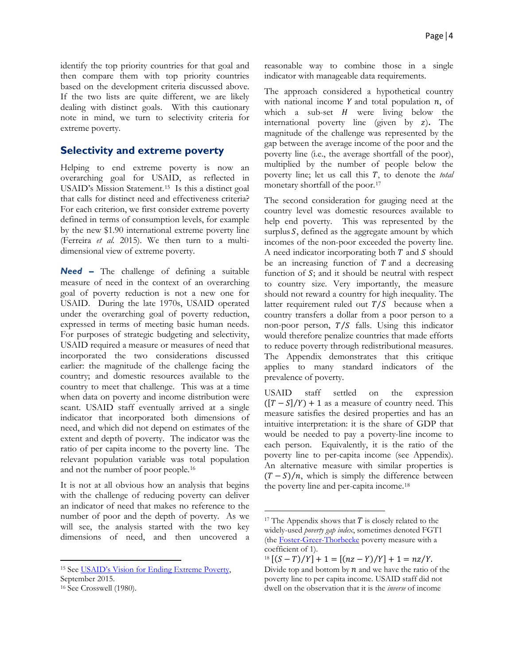identify the top priority countries for that goal and then compare them with top priority countries based on the development criteria discussed above. If the two lists are quite different, we are likely dealing with distinct goals. With this cautionary note in mind, we turn to selectivity criteria for extreme poverty.

#### **Selectivity and extreme poverty**

Helping to end extreme poverty is now an overarching goal for USAID, as reflected in USAID's Mission Statement.[15](#page-3-0) Is this a distinct goal that calls for distinct need and effectiveness criteria? For each criterion, we first consider extreme poverty defined in terms of consumption levels, for example by the new \$1.90 international extreme poverty line (Ferreira *et al.* 2015). We then turn to a multidimensional view of extreme poverty.

*Need –* The challenge of defining a suitable measure of need in the context of an overarching goal of poverty reduction is not a new one for USAID. During the late 1970s, USAID operated under the overarching goal of poverty reduction, expressed in terms of meeting basic human needs. For purposes of strategic budgeting and selectivity, USAID required a measure or measures of need that incorporated the two considerations discussed earlier: the magnitude of the challenge facing the country; and domestic resources available to the country to meet that challenge. This was at a time when data on poverty and income distribution were scant. USAID staff eventually arrived at a single indicator that incorporated both dimensions of need, and which did not depend on estimates of the extent and depth of poverty. The indicator was the ratio of per capita income to the poverty line. The relevant population variable was total population and not the number of poor people.[16](#page-3-1)

<span id="page-3-2"></span>It is not at all obvious how an analysis that begins with the challenge of reducing poverty can deliver an indicator of need that makes no reference to the number of poor and the depth of poverty. As we will see, the analysis started with the two key dimensions of need, and then uncovered a

l

reasonable way to combine those in a single indicator with manageable data requirements.

The approach considered a hypothetical country with national income  $Y$  and total population  $n$ , of which a sub-set  $H$  were living below the international poverty line (given by z). The magnitude of the challenge was represented by the gap between the average income of the poor and the poverty line (i.e., the average shortfall of the poor), multiplied by the number of people below the poverty line; let us call this T, to denote the *total* monetary shortfall of the poor[.17](#page-3-2)

The second consideration for gauging need at the country level was domestic resources available to help end poverty. This was represented by the surplus  $S$ , defined as the aggregate amount by which incomes of the non-poor exceeded the poverty line. A need indicator incorporating both  $T$  and  $S$  should be an increasing function of  $T$  and a decreasing function of  $S$ ; and it should be neutral with respect to country size. Very importantly, the measure should not reward a country for high inequality. The latter requirement ruled out  $T/S$  because when a country transfers a dollar from a poor person to a non-poor person,  $T/S$  falls. Using this indicator would therefore penalize countries that made efforts to reduce poverty through redistributional measures. The Appendix demonstrates that this critique applies to many standard indicators of the prevalence of poverty.

USAID staff settled on the expression  $([T - S]/Y) + 1$  as a measure of country need. This measure satisfies the desired properties and has an intuitive interpretation: it is the share of GDP that would be needed to pay a poverty-line income to each person. Equivalently, it is the ratio of the poverty line to per-capita income (see Appendix). An alternative measure with similar properties is  $(T - S)/n$ , which is simply the difference between the poverty line and per-capita income.[18](#page-3-3)

 $\overline{\phantom{a}}$ 

<span id="page-3-3"></span><span id="page-3-0"></span><sup>15</sup> See [USAID's Vision for Ending Extreme Poverty,](https://www.usaid.gov/sites/default/files/documents/1870/USAID_Ending_Extreme_Poverty_Sept_2015.pdf) 

September 2015.

<span id="page-3-1"></span><sup>16</sup> See Crosswell (1980).

<sup>&</sup>lt;sup>17</sup> The Appendix shows that  $T$  is closely related to the widely-used *poverty gap index*, sometimes denoted FGT1 (the [Foster-Greer-Thorbecke](https://www.gwu.edu/%7Eiiep/assets/docs/papers/Foster_IIEPWP2010-14.pdf) poverty measure with a coefficient of 1).

 $18 [(S-T)/Y] + 1 = [(nz-Y)/Y] + 1 = nz/Y.$ Divide top and bottom by  $n$  and we have the ratio of the poverty line to per capita income. USAID staff did not dwell on the observation that it is the *inverse* of income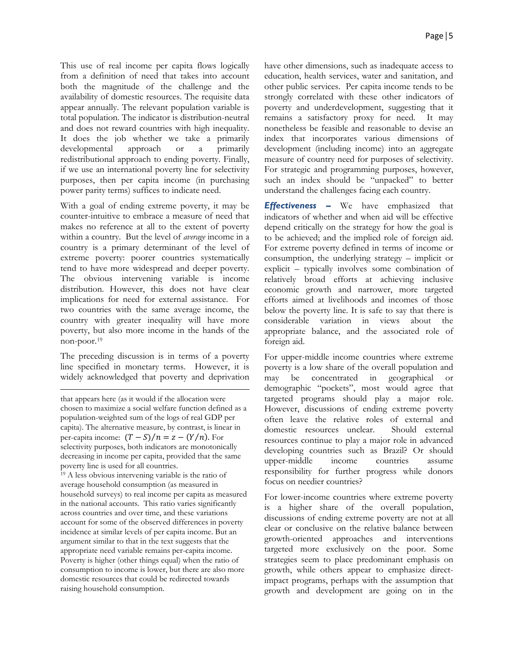This use of real income per capita flows logically from a definition of need that takes into account both the magnitude of the challenge and the availability of domestic resources. The requisite data appear annually. The relevant population variable is total population. The indicator is distribution-neutral and does not reward countries with high inequality. It does the job whether we take a primarily developmental approach or a primarily redistributional approach to ending poverty. Finally, if we use an international poverty line for selectivity purposes, then per capita income (in purchasing power parity terms) suffices to indicate need.

With a goal of ending extreme poverty, it may be counter-intuitive to embrace a measure of need that makes no reference at all to the extent of poverty within a country. But the level of *average* income in a country is a primary determinant of the level of extreme poverty: poorer countries systematically tend to have more widespread and deeper poverty. The obvious intervening variable is income distribution. However, this does not have clear implications for need for external assistance. For two countries with the same average income, the country with greater inequality will have more poverty, but also more income in the hands of the non-poor.[19](#page-4-0)

The preceding discussion is in terms of a poverty line specified in monetary terms. However, it is widely acknowledged that poverty and deprivation

 $\overline{\phantom{a}}$ 

that appears here (as it would if the allocation were chosen to maximize a social welfare function defined as a population-weighted sum of the logs of real GDP per capita). The alternative measure, by contrast, is linear in per-capita income:  $(T - S)/n = z - (Y/n)$ . For selectivity purposes, both indicators are monotonically decreasing in income per capita, provided that the same poverty line is used for all countries.

<span id="page-4-0"></span><sup>19</sup> A less obvious intervening variable is the ratio of average household consumption (as measured in household surveys) to real income per capita as measured in the national accounts. This ratio varies significantly across countries and over time, and these variations account for some of the observed differences in poverty incidence at similar levels of per capita income. But an argument similar to that in the text suggests that the appropriate need variable remains per-capita income. Poverty is higher (other things equal) when the ratio of consumption to income is lower, but there are also more domestic resources that could be redirected towards raising household consumption.

have other dimensions, such as inadequate access to education, health services, water and sanitation, and other public services. Per capita income tends to be strongly correlated with these other indicators of poverty and underdevelopment, suggesting that it remains a satisfactory proxy for need. It may nonetheless be feasible and reasonable to devise an index that incorporates various dimensions of development (including income) into an aggregate measure of country need for purposes of selectivity. For strategic and programming purposes, however, such an index should be "unpacked" to better understand the challenges facing each country.

*Effectiveness* – We have emphasized that indicators of whether and when aid will be effective depend critically on the strategy for how the goal is to be achieved; and the implied role of foreign aid. For extreme poverty defined in terms of income or consumption, the underlying strategy – implicit or explicit – typically involves some combination of relatively broad efforts at achieving inclusive economic growth and narrower, more targeted efforts aimed at livelihoods and incomes of those below the poverty line. It is safe to say that there is considerable variation in views about the appropriate balance, and the associated role of foreign aid.

For upper-middle income countries where extreme poverty is a low share of the overall population and may be concentrated in geographical or demographic "pockets", most would agree that targeted programs should play a major role. However, discussions of ending extreme poverty often leave the relative roles of external and domestic resources unclear. Should external resources continue to play a major role in advanced developing countries such as Brazil? Or should upper-middle income countries assume responsibility for further progress while donors focus on needier countries?

For lower-income countries where extreme poverty is a higher share of the overall population, discussions of ending extreme poverty are not at all clear or conclusive on the relative balance between growth-oriented approaches and interventions targeted more exclusively on the poor. Some strategies seem to place predominant emphasis on growth, while others appear to emphasize directimpact programs, perhaps with the assumption that growth and development are going on in the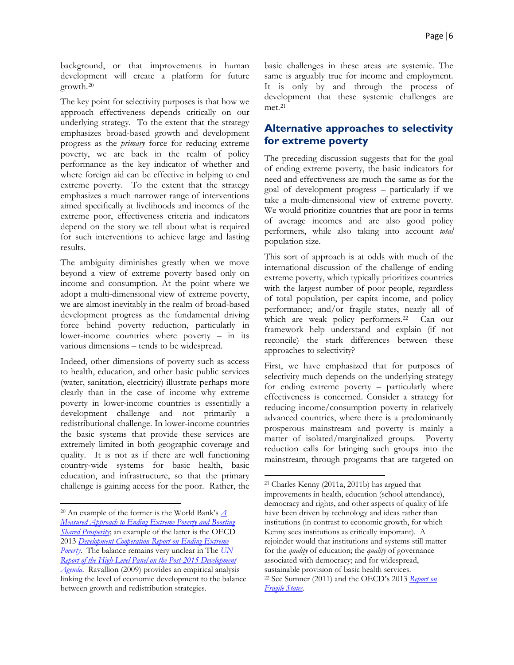background, or that improvements in human development will create a platform for future growth.[20](#page-5-0)

The key point for selectivity purposes is that how we approach effectiveness depends critically on our underlying strategy. To the extent that the strategy emphasizes broad-based growth and development progress as the *primary* force for reducing extreme poverty, we are back in the realm of policy performance as the key indicator of whether and where foreign aid can be effective in helping to end extreme poverty. To the extent that the strategy emphasizes a much narrower range of interventions aimed specifically at livelihoods and incomes of the extreme poor, effectiveness criteria and indicators depend on the story we tell about what is required for such interventions to achieve large and lasting results.

The ambiguity diminishes greatly when we move beyond a view of extreme poverty based only on income and consumption. At the point where we adopt a multi-dimensional view of extreme poverty, we are almost inevitably in the realm of broad-based development progress as the fundamental driving force behind poverty reduction, particularly in lower-income countries where poverty – in its various dimensions – tends to be widespread.

Indeed, other dimensions of poverty such as access to health, education, and other basic public services (water, sanitation, electricity) illustrate perhaps more clearly than in the case of income why extreme poverty in lower-income countries is essentially a development challenge and not primarily a redistributional challenge. In lower-income countries the basic systems that provide these services are extremely limited in both geographic coverage and quality. It is not as if there are well functioning country-wide systems for basic health, basic education, and infrastructure, so that the primary challenge is gaining access for the poor. Rather, the

<span id="page-5-1"></span> $\overline{\phantom{a}}$ 

basic challenges in these areas are systemic. The same is arguably true for income and employment. It is only by and through the process of development that these systemic challenges are met.[21](#page-5-1)

# **Alternative approaches to selectivity for extreme poverty**

The preceding discussion suggests that for the goal of ending extreme poverty, the basic indicators for need and effectiveness are much the same as for the goal of development progress – particularly if we take a multi-dimensional view of extreme poverty. We would prioritize countries that are poor in terms of average incomes and are also good policy performers, while also taking into account *total* population size.

This sort of approach is at odds with much of the international discussion of the challenge of ending extreme poverty, which typically prioritizes countries with the largest number of poor people, regardless of total population, per capita income, and policy performance; and/or fragile states, nearly all of which are weak policy performers.<sup>[22](#page-5-2)</sup> Can our framework help understand and explain (if not reconcile) the stark differences between these approaches to selectivity?

First, we have emphasized that for purposes of selectivity much depends on the underlying strategy for ending extreme poverty – particularly where effectiveness is concerned. Consider a strategy for reducing income/consumption poverty in relatively advanced countries, where there is a predominantly prosperous mainstream and poverty is mainly a matter of isolated/marginalized groups. Poverty reduction calls for bringing such groups into the mainstream, through programs that are targeted on

<span id="page-5-2"></span><span id="page-5-0"></span><sup>20</sup> An example of the former is the World Bank's *[A](http://documents.worldbank.org/curated/en/2014/10/20289547/measured-approach-ending-poverty-boosting-shared-prosperity-concepts-data-twin-goals)  [Measured Approach to Ending Extreme Poverty and Boosting](http://documents.worldbank.org/curated/en/2014/10/20289547/measured-approach-ending-poverty-boosting-shared-prosperity-concepts-data-twin-goals)  [Shared Prosperity](http://documents.worldbank.org/curated/en/2014/10/20289547/measured-approach-ending-poverty-boosting-shared-prosperity-concepts-data-twin-goals)*; an example of the latter is the OECD 2013 *[Development Cooperation Report on Ending Extreme](http://www.oecd-ilibrary.org/development/development-co-operation-report-2013_dcr-2013-en)  [Poverty](http://www.oecd-ilibrary.org/development/development-co-operation-report-2013_dcr-2013-en)*. The balance remains very unclear in The *[UN](http://www.un.org/sg/management/pdf/HLP_P2015_Report.pdf)  [Report of the High-Level Panel on the Post-2015 Development](http://www.un.org/sg/management/pdf/HLP_P2015_Report.pdf)  [Agenda](http://www.un.org/sg/management/pdf/HLP_P2015_Report.pdf)*. Ravallion (2009) provides an empirical analysis linking the level of economic development to the balance between growth and redistribution strategies.

 $\overline{\phantom{a}}$ <sup>21</sup> Charles Kenny (2011a, 2011b) has argued that improvements in health, education (school attendance), democracy and rights, and other aspects of quality of life have been driven by technology and ideas rather than institutions (in contrast to economic growth, for which Kenny sees institutions as critically important). A rejoinder would that institutions and systems still matter for the *quality* of education; the *quality* of governance associated with democracy; and for widespread, sustainable provision of basic health services. 22 See Sumner (2011) and the OECD's 2013 *[Report on](http://www.oecd.org/dac/governance-peace/conflictandfragility/rf.htm)  [Fragile States](http://www.oecd.org/dac/governance-peace/conflictandfragility/rf.htm)*.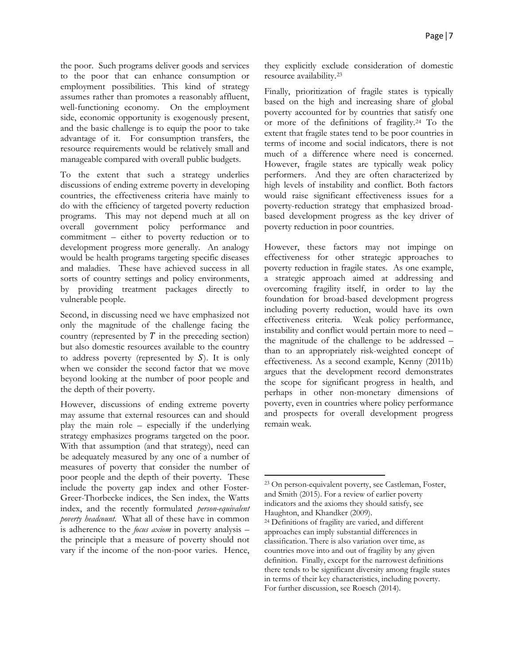the poor. Such programs deliver goods and services to the poor that can enhance consumption or employment possibilities. This kind of strategy assumes rather than promotes a reasonably affluent, well-functioning economy. On the employment side, economic opportunity is exogenously present, and the basic challenge is to equip the poor to take advantage of it. For consumption transfers, the resource requirements would be relatively small and manageable compared with overall public budgets.

To the extent that such a strategy underlies discussions of ending extreme poverty in developing countries, the effectiveness criteria have mainly to do with the efficiency of targeted poverty reduction programs. This may not depend much at all on overall government policy performance and commitment – either to poverty reduction or to development progress more generally. An analogy would be health programs targeting specific diseases and maladies. These have achieved success in all sorts of country settings and policy environments, by providing treatment packages directly to vulnerable people.

Second, in discussing need we have emphasized not only the magnitude of the challenge facing the country (represented by  $T$  in the preceding section) but also domestic resources available to the country to address poverty (represented by  $S$ ). It is only when we consider the second factor that we move beyond looking at the number of poor people and the depth of their poverty.

<span id="page-6-1"></span><span id="page-6-0"></span>However, discussions of ending extreme poverty may assume that external resources can and should play the main role – especially if the underlying strategy emphasizes programs targeted on the poor. With that assumption (and that strategy), need can be adequately measured by any one of a number of measures of poverty that consider the number of poor people and the depth of their poverty. These include the poverty gap index and other Foster-Greer-Thorbecke indices, the Sen index, the Watts index, and the recently formulated *person-equivalent poverty headcount*. What all of these have in common is adherence to the *focus axiom* in poverty analysis – the principle that a measure of poverty should not vary if the income of the non-poor varies. Hence,

they explicitly exclude consideration of domestic resource availability.[23](#page-6-0) 

Finally, prioritization of fragile states is typically based on the high and increasing share of global poverty accounted for by countries that satisfy one or more of the definitions of fragility.[24](#page-6-1) To the extent that fragile states tend to be poor countries in terms of income and social indicators, there is not much of a difference where need is concerned. However, fragile states are typically weak policy performers. And they are often characterized by high levels of instability and conflict. Both factors would raise significant effectiveness issues for a poverty-reduction strategy that emphasized broadbased development progress as the key driver of poverty reduction in poor countries.

However, these factors may not impinge on effectiveness for other strategic approaches to poverty reduction in fragile states. As one example, a strategic approach aimed at addressing and overcoming fragility itself, in order to lay the foundation for broad-based development progress including poverty reduction, would have its own effectiveness criteria. Weak policy performance, instability and conflict would pertain more to need – the magnitude of the challenge to be addressed – than to an appropriately risk-weighted concept of effectiveness. As a second example, Kenny (2011b) argues that the development record demonstrates the scope for significant progress in health, and perhaps in other non-monetary dimensions of poverty, even in countries where policy performance and prospects for overall development progress remain weak.

 $\overline{\phantom{a}}$ <sup>23</sup> On person-equivalent poverty, see Castleman, Foster, and Smith (2015). For a review of earlier poverty indicators and the axioms they should satisfy, see Haughton, and Khandker (2009).

<sup>24</sup> Definitions of fragility are varied, and different approaches can imply substantial differences in classification. There is also variation over time, as countries move into and out of fragility by any given definition. Finally, except for the narrowest definitions there tends to be significant diversity among fragile states in terms of their key characteristics, including poverty. For further discussion, see Roesch (2014).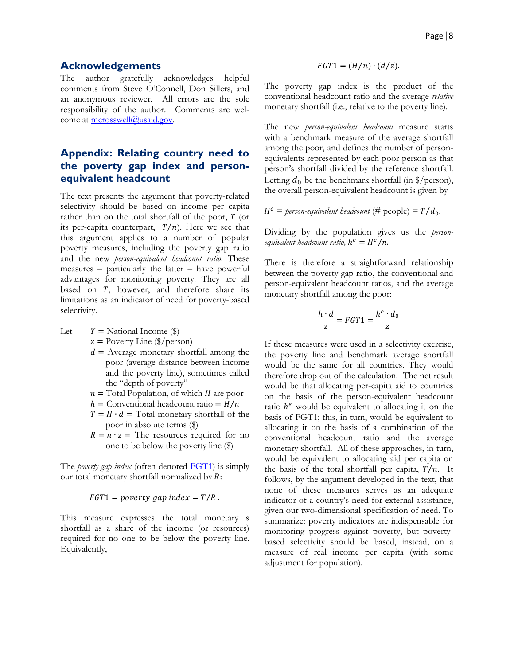#### **Acknowledgements**

The author gratefully acknowledges helpful comments from Steve O'Connell, Don Sillers, and an anonymous reviewer. All errors are the sole responsibility of the author. Comments are welcome at [mcrosswell@usaid.gov.](mailto:mcrosswell@usaid.gov)

### **Appendix: Relating country need to the poverty gap index and personequivalent headcount**

The text presents the argument that poverty-related selectivity should be based on income per capita rather than on the total shortfall of the poor,  $T$  (or its per-capita counterpart,  $T/n$ ). Here we see that this argument applies to a number of popular poverty measures, including the poverty gap ratio and the new *person-equivalent headcount ratio*. These measures – particularly the latter – have powerful advantages for monitoring poverty. They are all based on  $T$ , however, and therefore share its limitations as an indicator of need for poverty-based selectivity.

Let  $Y = National Income$  (\$)

- $z =$  Poverty Line (\$/person)
- $d =$  Average monetary shortfall among the poor (average distance between income and the poverty line), sometimes called the "depth of poverty"
- $n =$  Total Population, of which *H* are poor
- $h =$  Conventional headcount ratio =  $H/n$
- $T = H \cdot d =$  Total monetary shortfall of the poor in absolute terms (\$)
- $R = n \cdot z =$  The resources required for no one to be below the poverty line (\$)

The *poverty gap index* (often denoted **FGT1**) is simply our total monetary shortfall normalized by  $R$ :

$$
FGT1 = powerty \, gap \, index = T/R \, .
$$

This measure expresses the total monetary s shortfall as a share of the income (or resources) required for no one to be below the poverty line. Equivalently,

$$
FGT1 = (H/n) \cdot (d/z).
$$

The poverty gap index is the product of the conventional headcount ratio and the average *relative* monetary shortfall (i.e., relative to the poverty line).

The new *person-equivalent headcount* measure starts with a benchmark measure of the average shortfall among the poor, and defines the number of personequivalents represented by each poor person as that person's shortfall divided by the reference shortfall. Letting  $d_0$  be the benchmark shortfall (in \$/person), the overall person-equivalent headcount is given by

 $H^e =$  *person-equivalent headcount* (# people) =  $T/d_0$ .

Dividing by the population gives us the *personequivalent headcount ratio,*  $h^e = H^e/n$ .

There is therefore a straightforward relationship between the poverty gap ratio, the conventional and person-equivalent headcount ratios, and the average monetary shortfall among the poor:

$$
\frac{h \cdot d}{z} = FGT1 = \frac{h^e \cdot d_0}{z}
$$

If these measures were used in a selectivity exercise, the poverty line and benchmark average shortfall would be the same for all countries. They would therefore drop out of the calculation. The net result would be that allocating per-capita aid to countries on the basis of the person-equivalent headcount ratio  $h^e$  would be equivalent to allocating it on the basis of FGT1; this, in turn, would be equivalent to allocating it on the basis of a combination of the conventional headcount ratio and the average monetary shortfall. All of these approaches, in turn, would be equivalent to allocating aid per capita on the basis of the total shortfall per capita,  $T/n$ . It follows, by the argument developed in the text, that none of these measures serves as an adequate indicator of a country's need for external assistance, given our two-dimensional specification of need. To summarize: poverty indicators are indispensable for monitoring progress against poverty, but povertybased selectivity should be based, instead, on a measure of real income per capita (with some adjustment for population).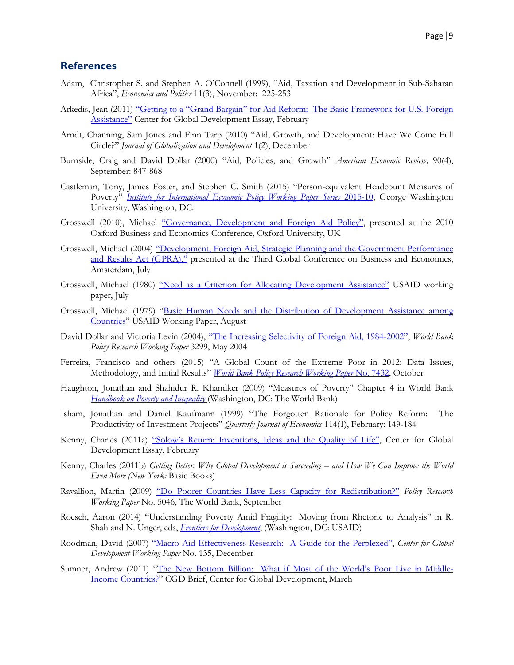#### **References**

- Adam, Christopher S. and Stephen A. O'Connell (1999), "Aid, Taxation and Development in Sub-Saharan Africa", *Economics and Politics* 11(3), November: 225-253
- Arkedis, Jean (2011) ["Getting to a "Grand Bargain" for Aid Reform: The Basic Framework for U.S. Foreign](http://www.cgdev.org/publication/getting-%E2%80%9Cgrand-bargain%E2%80%9D-aid-reform-basic-framework-us-foreign-assistance)  [Assistance"](http://www.cgdev.org/publication/getting-%E2%80%9Cgrand-bargain%E2%80%9D-aid-reform-basic-framework-us-foreign-assistance) Center for Global Development Essay, February
- Arndt, Channing, Sam Jones and Finn Tarp (2010) "Aid, Growth, and Development: Have We Come Full Circle?" *Journal of Globalization and Development* 1(2), December
- Burnside, Craig and David Dollar (2000) "Aid, Policies, and Growth" *American Economic Review,* 90(4), September: 847-868
- Castleman, Tony, James Foster, and Stephen C. Smith (2015) "Person-equivalent Headcount Measures of Poverty" *[Institute for International Economic Policy Working Paper Series](http://www.gwu.edu/%7Eiiep/publications/workingpapers/)* 2015-10, George Washington University, Washington, DC.
- Crosswell (2010), Michael ["Governance, Development and Foreign Aid Policy",](http://pdf.usaid.gov/pdf_docs/pbaad523.pdf) presented at the 2010 Oxford Business and Economics Conference, Oxford University, UK
- Crosswell, Michael (2004) ["Development, Foreign Aid, Strategic Planning and the Government Performance](http://pdf.usaid.gov/pdf_docs/PNADI782.pdf)  [and Results Act \(GPRA\),"](http://pdf.usaid.gov/pdf_docs/PNADI782.pdf) presented at the Third Global Conference on Business and Economics, Amsterdam, July
- Crosswell, Michael (1980) ["Need as a Criterion for Allocating Development Assistance"](http://pdf.usaid.gov/pdf_docs/PBAAD532.pdf) USAID working paper, July
- Crosswell, Michael (1979) ["Basic Human Needs and the Distribution of Development Assistance among](http://pdf.usaid.gov/pdf_docs/PBAAD533.pdf)  [Countries"](http://pdf.usaid.gov/pdf_docs/PBAAD533.pdf) USAID Working Paper, August
- David Dollar and Victoria Levin (2004), ["The Increasing Selectivity of Foreign Aid, 1984-2002",](https://openknowledge.worldbank.org/handle/10986/14090) *World Bank Policy Research Working Paper* 3299, May 2004
- Ferreira, Francisco and others (2015) "A Global Count of the Extreme Poor in 2012: Data Issues, Methodology, and Initial Results" *[World Bank Policy Research Working Paper](http://www-wds.worldbank.org/external/default/WDSContentServer/WDSP/IB/2015/10/14/090224b083144b10/2_0/Rendered/PDF/A0global0count00and0initial0results.pdf)* No. 7432, October
- Haughton, Jonathan and Shahidur R. Khandker (2009) "Measures of Poverty" Chapter 4 in World Bank *[Handbook on Poverty and Inequality](http://web.worldbank.org/WBSITE/EXTERNAL/TOPICS/EXTPOVERTY/EXTPA/0,,contentMDK:22405907%7EpagePK:148956%7EpiPK:216618%7EtheSitePK:430367,00.html)* (Washington, DC: The World Bank)
- Isham, Jonathan and Daniel Kaufmann (1999) "The Forgotten Rationale for Policy Reform: The Productivity of Investment Projects" *Quarterly Journal of Economics* 114(1), February: 149-184
- Kenny, Charles (2011a) ["Solow's Return: Inventions, Ideas and the Quality of Life",](http://www.cgdev.org/publication/solow%E2%80%99s-return-inventions-ideas-and-quality-life) Center for Global Development Essay, February
- Kenny, Charles (2011b) *Getting Better: Why Global Development is Succeeding – and How We Can Improve the World Even More (New York:* Basic Books)
- Ravallion, Martin (2009) ["Do Poorer Countries Have Less Capacity for](http://hdl.handle.net/10986/4238) Redistribution?" *Policy Research Working Paper* No. 5046, The World Bank, September
- Roesch, Aaron (2014) "Understanding Poverty Amid Fragility: Moving from Rhetoric to Analysis" in R. Shah and N. Unger, eds, *[Frontiers for Development](https://www.usaid.gov/frontiers/2014/publication)*, (Washington, DC: USAID)
- Roodman, David (2007) ["Macro Aid Effectiveness Research: A Guide for the Perplexed",](http://www.cgdev.org/publication/macro-aid-effectiveness-research-guide-perplexed-working-paper-135) *Center for Global Development Working Paper* No. 135, December
- Sumner, Andrew (2011) ["The New Bottom Billion: What if Most of the World's Poor Live in Middle-](http://www.ids.ac.uk/publication/the-new-bottom-billion-what-if-most-of-the-world-s-poor-live-in-middle-income-countries)[Income Countries?"](http://www.ids.ac.uk/publication/the-new-bottom-billion-what-if-most-of-the-world-s-poor-live-in-middle-income-countries) CGD Brief, Center for Global Development, March